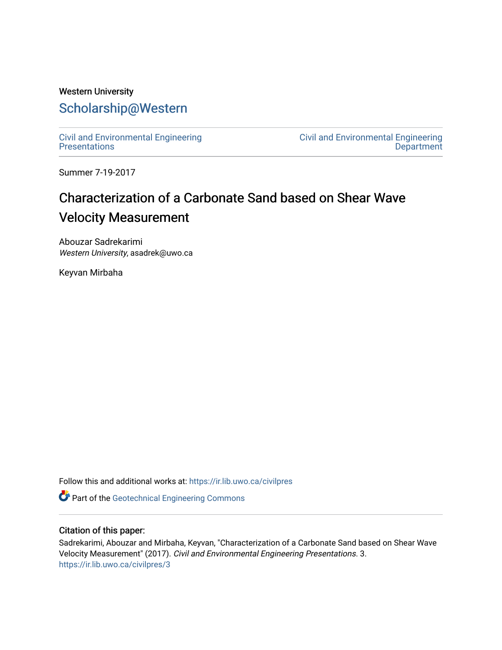## Western University [Scholarship@Western](https://ir.lib.uwo.ca/)

[Civil and Environmental Engineering](https://ir.lib.uwo.ca/civilpres)  **Presentations** 

[Civil and Environmental Engineering](https://ir.lib.uwo.ca/civil)  **Department** 

Summer 7-19-2017

# Characterization of a Carbonate Sand based on Shear Wave Velocity Measurement

Abouzar Sadrekarimi Western University, asadrek@uwo.ca

Keyvan Mirbaha

Follow this and additional works at: [https://ir.lib.uwo.ca/civilpres](https://ir.lib.uwo.ca/civilpres?utm_source=ir.lib.uwo.ca%2Fcivilpres%2F3&utm_medium=PDF&utm_campaign=PDFCoverPages)

**Part of the Geotechnical Engineering Commons** 

### Citation of this paper:

Sadrekarimi, Abouzar and Mirbaha, Keyvan, "Characterization of a Carbonate Sand based on Shear Wave Velocity Measurement" (2017). Civil and Environmental Engineering Presentations. 3. [https://ir.lib.uwo.ca/civilpres/3](https://ir.lib.uwo.ca/civilpres/3?utm_source=ir.lib.uwo.ca%2Fcivilpres%2F3&utm_medium=PDF&utm_campaign=PDFCoverPages)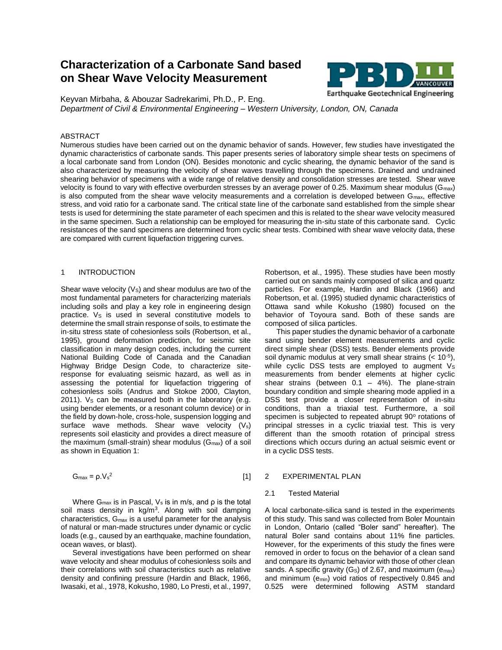## **Characterization of a Carbonate Sand based on Shear Wave Velocity Measurement**



Keyvan Mirbaha, & Abouzar Sadrekarimi, Ph.D., P. Eng. *Department of Civil & Environmental Engineering – Western University, London, ON, Canada*

#### ABSTRACT

Numerous studies have been carried out on the dynamic behavior of sands. However, few studies have investigated the dynamic characteristics of carbonate sands. This paper presents series of laboratory simple shear tests on specimens of a local carbonate sand from London (ON). Besides monotonic and cyclic shearing, the dynamic behavior of the sand is also characterized by measuring the velocity of shear waves travelling through the specimens. Drained and undrained shearing behavior of specimens with a wide range of relative density and consolidation stresses are tested. Shear wave velocity is found to vary with effective overburden stresses by an average power of 0.25. Maximum shear modulus ( $G_{\text{max}}$ ) is also computed from the shear wave velocity measurements and a correlation is developed between G<sub>max</sub>, effective stress, and void ratio for a carbonate sand. The critical state line of the carbonate sand established from the simple shear tests is used for determining the state parameter of each specimen and this is related to the shear wave velocity measured in the same specimen. Such a relationship can be employed for measuring the in-situ state of this carbonate sand. Cyclic resistances of the sand specimens are determined from cyclic shear tests. Combined with shear wave velocity data, these are compared with current liquefaction triggering curves.

#### 1 INTRODUCTION

Shear wave velocity  $(V<sub>S</sub>)$  and shear modulus are two of the most fundamental parameters for characterizing materials including soils and play a key role in engineering design practice. Vs is used in several constitutive models to determine the small strain response of soils, to estimate the in-situ stress state of cohesionless soils (Robertson, et al., 1995), ground deformation prediction, for seismic site classification in many design codes, including the current National Building Code of Canada and the Canadian Highway Bridge Design Code, to characterize siteresponse for evaluating seismic hazard, as well as in assessing the potential for liquefaction triggering of cohesionless soils (Andrus and Stokoe 2000, Clayton, 2011). Vs can be measured both in the laboratory (e.g. using bender elements, or a resonant column device) or in the field by down-hole, cross-hole, suspension logging and surface wave methods. Shear wave velocity (V<sub>s</sub>) represents soil elasticity and provides a direct measure of the maximum (small-strain) shear modulus ( $G_{\text{max}}$ ) of a soil as shown in Equation 1:

$$
G_{\text{max}} = \rho.V_s^2 \tag{1}
$$

Where  $G_{\text{max}}$  is in Pascal,  $V_s$  is in m/s, and  $\rho$  is the total soil mass density in kg/m<sup>3</sup>. Along with soil damping characteristics, Gmax is a useful parameter for the analysis of natural or man-made structures under dynamic or cyclic loads (e.g., caused by an earthquake, machine foundation, ocean waves, or blast).

Several investigations have been performed on shear wave velocity and shear modulus of cohesionless soils and their correlations with soil characteristics such as relative density and confining pressure (Hardin and Black, 1966, Iwasaki, et al., 1978, Kokusho, 1980, Lo Presti, et al., 1997,

Robertson, et al., 1995). These studies have been mostly carried out on sands mainly composed of silica and quartz particles. For example, Hardin and Black (1966) and Robertson, et al. (1995) studied dynamic characteristics of Ottawa sand while Kokusho (1980) focused on the behavior of Toyoura sand. Both of these sands are composed of silica particles.

This paper studies the dynamic behavior of a carbonate sand using bender element measurements and cyclic direct simple shear (DSS) tests. Bender elements provide soil dynamic modulus at very small shear strains  $(< 10^{-5})$ , while cyclic DSS tests are employed to augment  $V_s$ measurements from bender elements at higher cyclic shear strains (between  $0.1 - 4\%$ ). The plane-strain boundary condition and simple shearing mode applied in a DSS test provide a closer representation of in-situ conditions, than a triaxial test. Furthermore, a soil specimen is subjected to repeated abrupt 90° rotations of principal stresses in a cyclic triaxial test. This is very different than the smooth rotation of principal stress directions which occurs during an actual seismic event or in a cyclic DSS tests.

#### 2 EXPERIMENTAL PLAN

#### 2.1 Tested Material

A local carbonate-silica sand is tested in the experiments of this study. This sand was collected from Boler Mountain in London, Ontario (called "Boler sand" hereafter). The natural Boler sand contains about 11% fine particles. However, for the experiments of this study the fines were removed in order to focus on the behavior of a clean sand and compare its dynamic behavior with those of other clean sands. A specific gravity  $(G<sub>S</sub>)$  of 2.67, and maximum  $(e<sub>max</sub>)$ and minimum ( $e_{min}$ ) void ratios of respectively 0.845 and 0.525 were determined following ASTM standard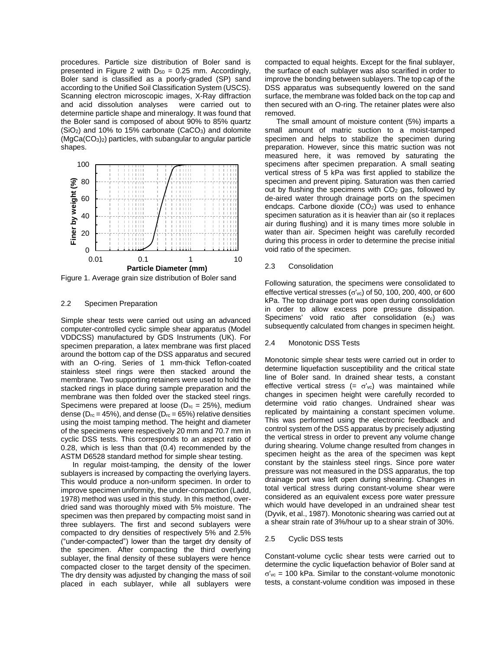procedures. Particle size distribution of Boler sand is presented in Figure 2 with  $D_{50} = 0.25$  mm. Accordingly, Boler sand is classified as a poorly-graded (SP) sand according to the Unified Soil Classification System (USCS). Scanning electron microscopic images, X-Ray diffraction and acid dissolution analyses were carried out to determine particle shape and mineralogy. It was found that the Boler sand is composed of about 90% to 85% quartz  $(SiO<sub>2</sub>)$  and 10% to 15% carbonate  $(CaCO<sub>3</sub>)$  and dolomite  $(MgCa(CO<sub>3</sub>)<sub>2</sub>)$  particles, with subangular to angular particle shapes.



Figure 1. Average grain size distribution of Boler sand

#### 2.2 Specimen Preparation

Simple shear tests were carried out using an advanced computer-controlled cyclic simple shear apparatus (Model VDDCSS) manufactured by GDS Instruments (UK). For specimen preparation, a latex membrane was first placed around the bottom cap of the DSS apparatus and secured with an O-ring. Series of 1 mm-thick Teflon-coated stainless steel rings were then stacked around the membrane. Two supporting retainers were used to hold the stacked rings in place during sample preparation and the membrane was then folded over the stacked steel rings. Specimens were prepared at loose ( $D_{rc} = 25\%$ ), medium dense ( $D_{rc}$  = 45%), and dense ( $D_{rc}$  = 65%) relative densities using the moist tamping method. The height and diameter of the specimens were respectively 20 mm and 70.7 mm in cyclic DSS tests. This corresponds to an aspect ratio of 0.28, which is less than that (0.4) recommended by the ASTM D6528 standard method for simple shear testing.

In regular moist-tamping, the density of the lower sublayers is increased by compacting the overlying layers. This would produce a non-uniform specimen. In order to improve specimen uniformity, the under-compaction (Ladd, 1978) method was used in this study. In this method, overdried sand was thoroughly mixed with 5% moisture. The specimen was then prepared by compacting moist sand in three sublayers. The first and second sublayers were compacted to dry densities of respectively 5% and 2.5% ("under-compacted") lower than the target dry density of the specimen. After compacting the third overlying sublayer, the final density of these sublayers were hence compacted closer to the target density of the specimen. The dry density was adjusted by changing the mass of soil placed in each sublayer, while all sublayers were

compacted to equal heights. Except for the final sublayer, the surface of each sublayer was also scarified in order to improve the bonding between sublayers. The top cap of the DSS apparatus was subsequently lowered on the sand surface, the membrane was folded back on the top cap and then secured with an O-ring. The retainer plates were also removed.

The small amount of moisture content (5%) imparts a small amount of matric suction to a moist-tamped specimen and helps to stabilize the specimen during preparation. However, since this matric suction was not measured here, it was removed by saturating the specimens after specimen preparation. A small seating vertical stress of 5 kPa was first applied to stabilize the specimen and prevent piping. Saturation was then carried out by flushing the specimens with  $CO<sub>2</sub>$  gas, followed by de-aired water through drainage ports on the specimen endcaps. Carbone dioxide  $(CO<sub>2</sub>)$  was used to enhance specimen saturation as it is heavier than air (so it replaces air during flushing) and it is many times more soluble in water than air. Specimen height was carefully recorded during this process in order to determine the precise initial void ratio of the specimen.

#### 2.3 Consolidation

Following saturation, the specimens were consolidated to effective vertical stresses ( $\sigma'_{\rm vc}$ ) of 50, 100, 200, 400, or 600 kPa. The top drainage port was open during consolidation in order to allow excess pore pressure dissipation. Specimens' void ratio after consolidation  $(e_c)$  was subsequently calculated from changes in specimen height.

#### 2.4 Monotonic DSS Tests

Monotonic simple shear tests were carried out in order to determine liquefaction susceptibility and the critical state line of Boler sand. In drained shear tests, a constant effective vertical stress (=  $\sigma$ 'vc) was maintained while changes in specimen height were carefully recorded to determine void ratio changes. Undrained shear was replicated by maintaining a constant specimen volume. This was performed using the electronic feedback and control system of the DSS apparatus by precisely adjusting the vertical stress in order to prevent any volume change during shearing. Volume change resulted from changes in specimen height as the area of the specimen was kept constant by the stainless steel rings. Since pore water pressure was not measured in the DSS apparatus, the top drainage port was left open during shearing. Changes in total vertical stress during constant-volume shear were considered as an equivalent excess pore water pressure which would have developed in an undrained shear test (Dyvik, et al., 1987). Monotonic shearing was carried out at a shear strain rate of 3%/hour up to a shear strain of 30%.

#### 2.5 Cyclic DSS tests

Constant-volume cyclic shear tests were carried out to determine the cyclic liquefaction behavior of Boler sand at  $\sigma'_{\text{vc}}$  = 100 kPa. Similar to the constant-volume monotonic tests, a constant-volume condition was imposed in these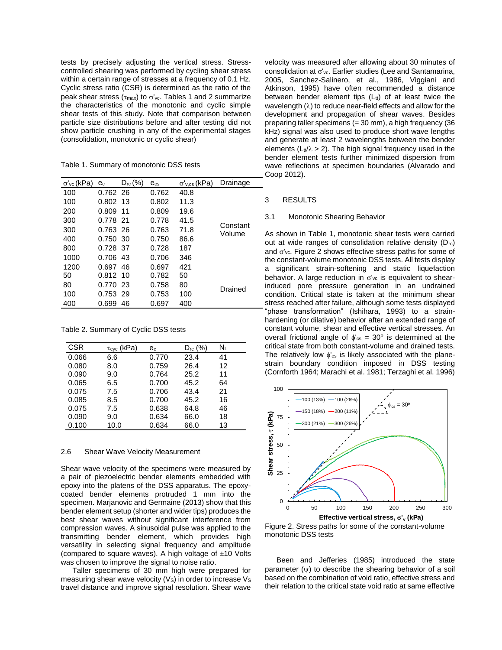tests by precisely adjusting the vertical stress. Stresscontrolled shearing was performed by cycling shear stress within a certain range of stresses at a frequency of 0.1 Hz. Cyclic stress ratio (CSR) is determined as the ratio of the peak shear stress ( $\tau_{\text{max}}$ ) to  $\sigma'_{\text{vc}}$ . Tables 1 and 2 summarize the characteristics of the monotonic and cyclic simple shear tests of this study. Note that comparison between particle size distributions before and after testing did not show particle crushing in any of the experimental stages (consolidation, monotonic or cyclic shear)

Table 1. Summary of monotonic DSS tests

| $\sigma'_{\rm vc}$ (kPa) | e <sub>c</sub> | $D_{rc}$ (%) | $e_{cs}$ | $\sigma'_{v,cs}$ (kPa) | Drainage           |
|--------------------------|----------------|--------------|----------|------------------------|--------------------|
| 100                      | 0.762 26       |              | 0.762    | 40.8                   |                    |
| 100                      | 0.802 13       |              | 0.802    | 11.3                   |                    |
| 200                      | 0.809          | 11           | 0.809    | 19.6                   |                    |
| 300                      | 0.778 21       |              | 0.778    | 41.5                   | Constant<br>Volume |
| 300                      | 0.763 26       |              | 0.763    | 71.8                   |                    |
| 400                      | 0.750 30       |              | 0.750    | 86.6                   |                    |
| 800                      | 0.728 37       |              | 0.728    | 187                    |                    |
| 1000                     | 0.706 43       |              | 0.706    | 346                    |                    |
| 1200                     | 0.697          | 46           | 0.697    | 421                    |                    |
| 50                       | $0.812$ 10     |              | 0.782    | 50                     |                    |
| 80                       | 0.770 23       |              | 0.758    | 80                     | Drained            |
| 100                      | 0.753 29       |              | 0.753    | 100                    |                    |
| 400                      | 0.699          | 46           | 0.697    | 400                    |                    |

Table 2. Summary of Cyclic DSS tests

| <b>CSR</b> | $\tau_{\text{cyc}}$ (kPa) | $e_c$ | $D_{rc}$ (%) | $\mathsf{N}_\mathsf{L}$ |
|------------|---------------------------|-------|--------------|-------------------------|
| 0.066      | 6.6                       | 0.770 | 23.4         | 41                      |
| 0.080      | 8.0                       | 0.759 | 26.4         | 12                      |
| 0.090      | 9.0                       | 0.764 | 25.2         | 11                      |
| 0.065      | 6.5                       | 0.700 | 45.2         | 64                      |
| 0.075      | 7.5                       | 0.706 | 43.4         | 21                      |
| 0.085      | 8.5                       | 0.700 | 45.2         | 16                      |
| 0.075      | 7.5                       | 0.638 | 64.8         | 46                      |
| 0.090      | 9.0                       | 0.634 | 66.0         | 18                      |
| 0.100      | 10.0                      | 0.634 | 66.0         | 13                      |

#### 2.6 Shear Wave Velocity Measurement

Shear wave velocity of the specimens were measured by a pair of piezoelectric bender elements embedded with epoxy into the platens of the DSS apparatus. The epoxycoated bender elements protruded 1 mm into the specimen. Marianovic and Germaine (2013) show that this bender element setup (shorter and wider tips) produces the best shear waves without significant interference from compression waves. A sinusoidal pulse was applied to the transmitting bender element, which provides high versatility in selecting signal frequency and amplitude (compared to square waves). A high voltage of  $±10$  Volts was chosen to improve the signal to noise ratio.

Taller specimens of 30 mm high were prepared for measuring shear wave velocity ( $Vs$ ) in order to increase  $Vs$ travel distance and improve signal resolution. Shear wave

velocity was measured after allowing about 30 minutes of consolidation at  $\sigma'_{\rm vc}$ . Earlier studies (Lee and Santamarina, 2005, Sanchez-Salinero, et al., 1986, Viggiani and Atkinson, 1995) have often recommended a distance between bender element tips  $(L_{tt})$  of at least twice the wavelength  $(\lambda)$  to reduce near-field effects and allow for the development and propagation of shear waves. Besides preparing taller specimens (= 30 mm), a high frequency (36 kHz) signal was also used to produce short wave lengths and generate at least 2 wavelengths between the bender elements ( $L_t/\lambda > 2$ ). The high signal frequency used in the bender element tests further minimized dispersion from wave reflections at specimen boundaries (Alvarado and Coop 2012).

#### 3 RESULTS

#### 3.1 Monotonic Shearing Behavior

As shown in Table 1, monotonic shear tests were carried out at wide ranges of consolidation relative density (Drc) and  $\sigma'_{\rm vc}$ . Figure 2 shows effective stress paths for some of the constant-volume monotonic DSS tests. All tests display a significant strain-softening and static liquefaction behavior. A large reduction in  $\sigma'_{\text{vc}}$  is equivalent to shearinduced pore pressure generation in an undrained condition. Critical state is taken at the minimum shear stress reached after failure, although some tests displayed "phase transformation" (Ishihara, 1993) to a strainhardening (or dilative) behavior after an extended range of constant volume, shear and effective vertical stresses. An overall frictional angle of  $\phi_{\text{cs}} = 30^{\circ}$  is determined at the critical state from both constant-volume and drained tests. The relatively low  $\phi_{\text{cs}}$  is likely associated with the planestrain boundary condition imposed in DSS testing (Cornforth 1964; Marachi et al. 1981; Terzaghi et al. 1996)



Figure 2. Stress paths for some of the constant-volume monotonic DSS tests

Been and Jefferies (1985) introduced the state parameter  $(\psi)$  to describe the shearing behavior of a soil based on the combination of void ratio, effective stress and their relation to the critical state void ratio at same effective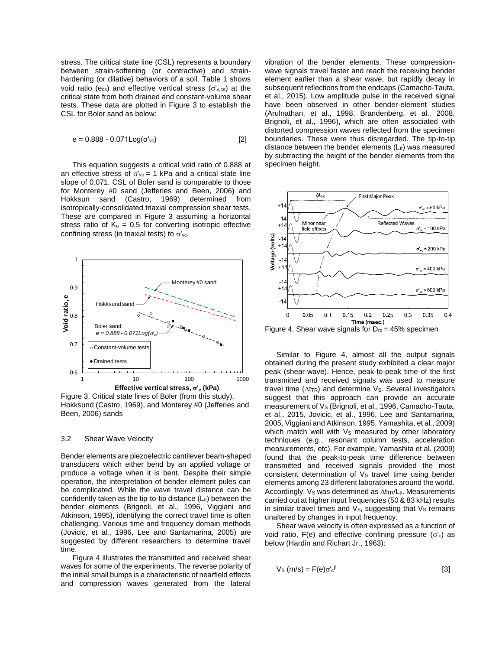stress. The critical state line (CSL) represents a boundary between strain-softening (or contractive) and strainhardening (or dilative) behaviors of a soil. Table 1 shows void ratio (ecs) and effective vertical stress ( $\sigma'_{v,cs}$ ) at the critical state from both drained and constant-volume shear tests. These data are plotted in Figure 3 to establish the CSL for Boler sand as below:

$$
e = 0.888 - 0.071 \text{Log}(\sigma'_{\text{vc}})
$$
 [2]

This equation suggests a critical void ratio of 0.888 at an effective stress of  $\sigma'_{\text{ve}} = 1$  kPa and a critical state line slope of 0.071. CSL of Boler sand is comparable to those for Monterey #0 sand (Jefferies and Been, 2006) and Hokksun sand (Castro, 1969) determined from isotropically-consolidated triaxial compression shear tests. These are compared in Figure 3 assuming a horizontal stress ratio of  $K_0 = 0.5$  for converting isotropic effective confining stress (in triaxial tests) to  $\sigma'_{\rm vc}$ .



Figure 3. Critical state lines of Boler (from this study), Hokksund (Castro, 1969), and Monterey #0 (Jefferies and Been, 2006) sands

#### 3.2 Shear Wave Velocity

Bender elements are piezoelectric cantilever beam-shaped transducers which either bend by an applied voltage or produce a voltage when it is bent. Despite their simple operation, the interpretation of bender element pules can be complicated. While the wave travel distance can be confidently taken as the tip-to-tip distance  $(L_{tt})$  between the bender elements (Brignoli, et al., 1996, Viggiani and Atkinson, 1995), identifying the correct travel time is often challenging. Various time and frequency domain methods (Jovicic, et al., 1996, Lee and Santamarina, 2005) are suggested by different researchers to determine travel time.

Figure 4 illustrates the transmitted and received shear waves for some of the experiments. The reverse polarity of the initial small bumps is a characteristic of nearfield effects and compression waves generated from the lateral

vibration of the bender elements. These compressionwave signals travel faster and reach the receiving bender element earlier than a shear wave, but rapidly decay in subsequent reflections from the endcaps (Camacho-Tauta, et al., 2015). Low amplitude pulse in the received signal have been observed in other bender-element studies (Arulnathan, et al., 1998, Brandenberg, et al., 2008, Brignoli, et al., 1996), which are often associated with distorted compression waves reflected from the specimen boundaries. These were thus disregarded. The tip-to-tip distance between the bender elements  $(L_{tt})$  was measured by subtracting the height of the bender elements from the specimen height.



Figure 4. Shear wave signals for  $D_{rc} = 45\%$  specimen

Similar to Figure 4, almost all the output signals obtained during the present study exhibited a clear major peak (shear-wave). Hence, peak-to-peak time of the first transmitted and received signals was used to measure travel time  $(\Delta t_{TR})$  and determine Vs. Several investigators suggest that this approach can provide an accurate measurement of Vs (Brignoli, et al., 1996, Camacho-Tauta, et al., 2015, Jovicic, et al., 1996, Lee and Santamarina, 2005, Viggiani and Atkinson, 1995, Yamashita, et al., 2009) which match well with  $V<sub>S</sub>$  measured by other laboratory techniques (e.g., resonant column tests, acceleration measurements, etc). For example, Yamashita et al. (2009) found that the peak-to-peak time difference between transmitted and received signals provided the most consistent determination of Vs travel time using bender elements among 23 different laboratories around the world. Accordingly, Vs was determined as  $\Delta t_{TR}/L_{tt}$ . Measurements carried out at higher input frequencies (50 & 83 kHz) results in similar travel times and  $V_s$ , suggesting that  $V_s$  remains unaltered by changes in input frequency.

Shear wave velocity is often expressed as a function of void ratio,  $F(e)$  and effective confining pressure ( $\sigma'_{c}$ ) as below (Hardin and Richart Jr., 1963):

$$
V_{\rm S} \left( m/s \right) = F(e) \sigma' c^{\beta} \tag{3}
$$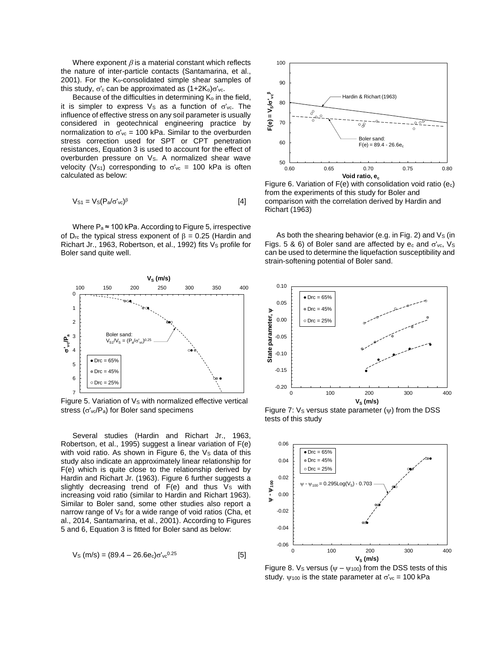Where exponent  $\beta$  is a material constant which reflects the nature of inter-particle contacts (Santamarina, et al., 2001). For the Ko-consolidated simple shear samples of this study,  $\sigma'_{c}$  can be approximated as  $(1+2K_{0})\sigma'_{\rm vc}$ .

Because of the difficulties in determining  $K<sub>o</sub>$  in the field, it is simpler to express  $V_s$  as a function of  $\sigma'_{vc}$ . The influence of effective stress on any soil parameter is usually considered in geotechnical engineering practice by normalization to  $\sigma'_{\text{vc}}$  = 100 kPa. Similar to the overburden stress correction used for SPT or CPT penetration resistances, Equation 3 is used to account for the effect of overburden pressure on Vs. A normalized shear wave velocity (Vs<sub>1</sub>) corresponding to  $\sigma'_{\text{vc}}$  = 100 kPa is often calculated as below:

$$
V_{S1} = V_S (P_a / \sigma'_{\text{vc}})^{\beta} \tag{4}
$$

Where  $P_a \approx 100$  kPa. According to Figure 5, irrespective of D<sub>rc</sub> the typical stress exponent of  $\beta = 0.25$  (Hardin and Richart Jr., 1963, Robertson, et al., 1992) fits Vs profile for Boler sand quite well.



Figure 5. Variation of Vs with normalized effective vertical stress ( $\sigma'_{\rm vc}/P_{\rm a}$ ) for Boler sand specimens

Several studies (Hardin and Richart Jr., 1963, Robertson, et al., 1995) suggest a linear variation of F(e) with void ratio. As shown in Figure 6, the  $V<sub>S</sub>$  data of this study also indicate an approximately linear relationship for F(e) which is quite close to the relationship derived by Hardin and Richart Jr. (1963). Figure 6 further suggests a slightly decreasing trend of  $F(e)$  and thus  $Vs$  with increasing void ratio (similar to Hardin and Richart 1963). Similar to Boler sand, some other studies also report a narrow range of  $V_S$  for a wide range of void ratios (Cha, et al., 2014, Santamarina, et al., 2001). According to Figures 5 and 6, Equation 3 is fitted for Boler sand as below:

$$
V_{\rm S} \, (\rm m/s) = (89.4 - 26.6 e_c) \sigma'_{\rm v} c^{0.25} \tag{5}
$$



Figure 6. Variation of  $F(e)$  with consolidation void ratio  $(e<sub>c</sub>)$ from the experiments of this study for Boler and comparison with the correlation derived by Hardin and Richart (1963)

As both the shearing behavior (e.g. in Fig. 2) and  $V_s$  (in Figs. 5 & 6) of Boler sand are affected by  $e_c$  and  $\sigma'_{vc}$ , Vs can be used to determine the liquefaction susceptibility and strain-softening potential of Boler sand.



Figure 7:  $V_s$  versus state parameter ( $\psi$ ) from the DSS tests of this study



Figure 8. Vs versus ( $\psi - \psi_{100}$ ) from the DSS tests of this study.  $\psi$ <sub>100</sub> is the state parameter at  $\sigma'_{\text{vc}}$  = 100 kPa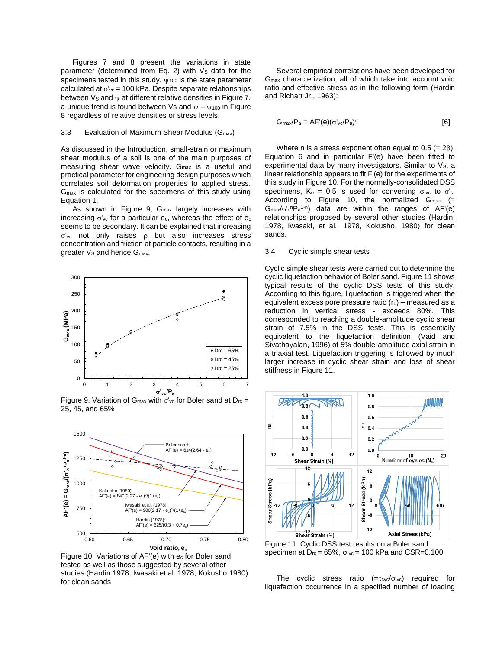Figures 7 and 8 present the variations in state parameter (determined from Eq. 2) with  $V<sub>S</sub>$  data for the specimens tested in this study.  $\psi$ <sub>100</sub> is the state parameter calculated at  $\sigma'_{\text{vc}}$  = 100 kPa. Despite separate relationships between  $V_s$  and  $\psi$  at different relative densities in Figure 7, a unique trend is found between Vs and  $\Psi - \Psi_{100}$  in Figure 8 regardless of relative densities or stress levels.

#### 3.3 Evaluation of Maximum Shear Modulus (G<sub>max</sub>)

As discussed in the Introduction, small-strain or maximum shear modulus of a soil is one of the main purposes of measuring shear wave velocity. Gmax is a useful and practical parameter for engineering design purposes which correlates soil deformation properties to applied stress. Gmax is calculated for the specimens of this study using Equation 1.

As shown in Figure 9, Gmax largely increases with increasing  $\sigma'_{\text{vc}}$  for a particular  $e_c$ , whereas the effect of  $e_c$ seems to be secondary. It can be explained that increasing  $\sigma'_{\text{vc}}$  not only raises  $\rho$  but also increases stress concentration and friction at particle contacts, resulting in a greater V<sub>S</sub> and hence G<sub>max</sub>.



25, 45, and 65%



Figure 10. Variations of AF'(e) with e<sup>c</sup> for Boler sand tested as well as those suggested by several other studies (Hardin 1978; Iwasaki et al. 1978; Kokusho 1980) for clean sands

Several empirical correlations have been developed for Gmax characterization, all of which take into account void ratio and effective stress as in the following form (Hardin and Richart Jr., 1963):

$$
G_{\text{max}}/P_a = AF'(e)(\sigma'_{\text{v}}/P_a)^n
$$
 [6]

Where n is a stress exponent often equal to 0.5 (=  $2\beta$ ). Equation 6 and in particular F'(e) have been fitted to experimental data by many investigators. Similar to Vs, a linear relationship appears to fit F'(e) for the experiments of this study in Figure 10. For the normally-consolidated DSS specimens,  $K_0 = 0.5$  is used for converting  $\sigma'_{\rm vc}$  to  $\sigma'_{\rm c}$ . According to Figure 10, the normalized  $G_{\text{max}}$  (=  $G_{\text{max}}/\sigma' c^n P_a^{1-n}$  data are within the ranges of AF'(e) relationships proposed by several other studies (Hardin, 1978, Iwasaki, et al., 1978, Kokusho, 1980) for clean sands.

#### 3.4 Cyclic simple shear tests

Cyclic simple shear tests were carried out to determine the cyclic liquefaction behavior of Boler sand. Figure 11 shows typical results of the cyclic DSS tests of this study. According to this figure, liquefaction is triggered when the equivalent excess pore pressure ratio  $(r<sub>u</sub>)$  – measured as a reduction in vertical stress - exceeds 80%. This corresponded to reaching a double-amplitude cyclic shear strain of 7.5% in the DSS tests. This is essentially equivalent to the liquefaction definition (Vaid and Sivathayalan, 1996) of 5% double-amplitude axial strain in a triaxial test. Liquefaction triggering is followed by much larger increase in cyclic shear strain and loss of shear stiffness in Figure 11.



Figure 11. Cyclic DSS test results on a Boler sand specimen at  $D_{rc} = 65\%$ ,  $\sigma'_{vc} = 100$  kPa and CSR=0.100

The cyclic stress ratio  $(=\tau_{\text{cyc}}/\sigma'_{\text{vc}})$  required for liquefaction occurrence in a specified number of loading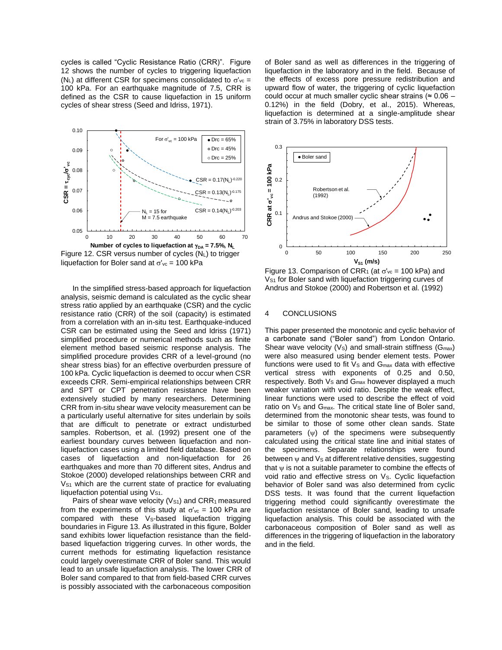cycles is called "Cyclic Resistance Ratio (CRR)". Figure 12 shows the number of cycles to triggering liquefaction (N<sub>L</sub>) at different CSR for specimens consolidated to  $\sigma'_{\rm vc}$  = 100 kPa. For an earthquake magnitude of 7.5, CRR is defined as the CSR to cause liquefaction in 15 uniform cycles of shear stress (Seed and Idriss, 1971).



liquefaction for Boler sand at  $\sigma'_{\text{ve}} = 100$  kPa

In the simplified stress-based approach for liquefaction analysis, seismic demand is calculated as the cyclic shear stress ratio applied by an earthquake (CSR) and the cyclic resistance ratio (CRR) of the soil (capacity) is estimated from a correlation with an in-situ test. Earthquake-induced CSR can be estimated using the Seed and Idriss (1971) simplified procedure or numerical methods such as finite element method based seismic response analysis. The simplified procedure provides CRR of a level-ground (no shear stress bias) for an effective overburden pressure of 100 kPa. Cyclic liquefaction is deemed to occur when CSR exceeds CRR. Semi-empirical relationships between CRR and SPT or CPT penetration resistance have been extensively studied by many researchers. Determining CRR from in-situ shear wave velocity measurement can be a particularly useful alternative for sites underlain by soils that are difficult to penetrate or extract undisturbed samples. Robertson, et al. (1992) present one of the earliest boundary curves between liquefaction and nonliquefaction cases using a limited field database. Based on cases of liquefaction and non-liquefaction for 26 earthquakes and more than 70 different sites, Andrus and Stokoe (2000) developed relationships between CRR and  $V<sub>S1</sub>$  which are the current state of practice for evaluating liquefaction potential using Vs1.

Pairs of shear wave velocity ( $V_{S1}$ ) and CRR<sub>1</sub> measured from the experiments of this study at  $\sigma'_{\text{vc}}$  = 100 kPa are compared with these Vs-based liquefaction trigging boundaries in Figure 13. As illustrated in this figure, Bolder sand exhibits lower liquefaction resistance than the fieldbased liquefaction triggering curves. In other words, the current methods for estimating liquefaction resistance could largely overestimate CRR of Boler sand. This would lead to an unsafe liquefaction analysis. The lower CRR of Boler sand compared to that from field-based CRR curves is possibly associated with the carbonaceous composition of Boler sand as well as differences in the triggering of liquefaction in the laboratory and in the field. Because of the effects of excess pore pressure redistribution and upward flow of water, the triggering of cyclic liquefaction could occur at much smaller cyclic shear strains ( $\approx 0.06$  – 0.12%) in the field (Dobry, et al., 2015). Whereas, liquefaction is determined at a single-amplitude shear strain of 3.75% in laboratory DSS tests.



Figure 13. Comparison of CRR<sub>1</sub> (at  $\sigma'_{\text{vc}}$  = 100 kPa) and  $V<sub>S1</sub>$  for Boler sand with liquefaction triggering curves of Andrus and Stokoe (2000) and Robertson et al. (1992)

#### 4 CONCLUSIONS

This paper presented the monotonic and cyclic behavior of a carbonate sand ("Boler sand") from London Ontario. Shear wave velocity ( $V_s$ ) and small-strain stiffness ( $G_{max}$ ) were also measured using bender element tests. Power functions were used to fit  $V_s$  and  $G_{max}$  data with effective vertical stress with exponents of 0.25 and 0.50, respectively. Both  $V_s$  and  $G_{\text{max}}$  however displayed a much weaker variation with void ratio. Despite the weak effect, linear functions were used to describe the effect of void ratio on Vs and G<sub>max</sub>. The critical state line of Boler sand, determined from the monotonic shear tests, was found to be similar to those of some other clean sands. State parameters  $(\psi)$  of the specimens were subsequently calculated using the critical state line and initial states of the specimens. Separate relationships were found between  $\psi$  and  $Vs$  at different relative densities, suggesting that  $\psi$  is not a suitable parameter to combine the effects of void ratio and effective stress on V<sub>S</sub>. Cyclic liquefaction behavior of Boler sand was also determined from cyclic DSS tests. It was found that the current liquefaction triggering method could significantly overestimate the liquefaction resistance of Boler sand, leading to unsafe liquefaction analysis. This could be associated with the carbonaceous composition of Boler sand as well as differences in the triggering of liquefaction in the laboratory and in the field.